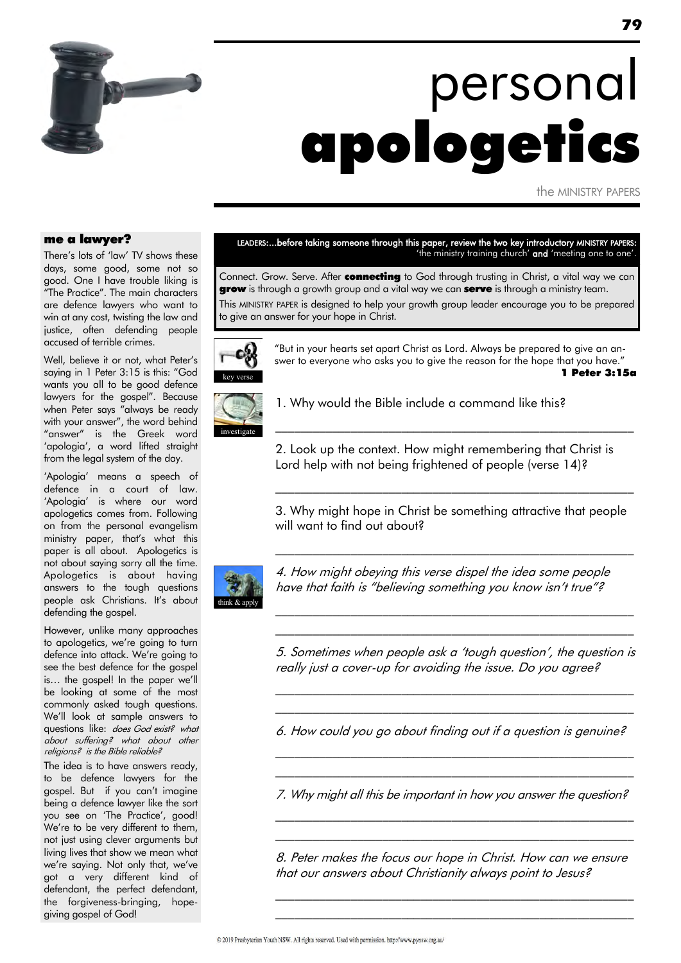

# personal apologetics

the MINISTRY PAPERS

#### me a lawyer?

There's lots of 'law' TV shows these days, some good, some not so good. One I have trouble liking is "The Practice". The main characters are defence lawyers who want to win at any cost, twisting the law and justice, often defending people accused of terrible crimes.

Well, believe it or not, what Peter's saying in 1 Peter 3:15 is this: "God wants you all to be good defence lawyers for the gospel". Because when Peter says "always be ready with your answer", the word behind "answer" is the Greek word "apologia", a word lifted straight from the legal system of the day.

"Apologia" means a speech of defence in a court of law. 'Apologia' is where our word apologetics comes from. Following on from the personal evangelism ministry paper, that"s what this paper is all about. Apologetics is not about saying sorry all the time. Apologetics is about having answers to the tough questions people ask Christians. It's about defending the gospel.

However, unlike many approaches to apologetics, we're going to turn defence into attack. We"re going to see the best defence for the gospel is... the gospel! In the paper we'll be looking at some of the most commonly asked tough questions. We"ll look at sample answers to questions like: does God exist? what about suffering? what about other religions? is the Bible reliable?

The idea is to have answers ready, to be defence lawyers for the gospel. But if you can't imagine being a defence lawyer like the sort you see on 'The Practice', good! We're to be very different to them, not just using clever arguments but living lives that show we mean what we're saying. Not only that, we've got a very different kind of defendant, the perfect defendant, the forgiveness-bringing, hopegiving gospel of God!

LEADERS:...before taking someone through this paper, review the two key introductory MINISTRY PAPERS: 'the ministry training church' and 'meeting one to one'.

Connect. Grow. Serve. After connecting to God through trusting in Christ, a vital way we can **grow** is through a growth group and a vital way we can **serve** is through a ministry team. This MINISTRY PAPER is designed to help your growth group leader encourage you to be prepared to give an answer for your hope in Christ.



"But in your hearts set apart Christ as Lord. Always be prepared to give an answer to everyone who asks you to give the reason for the hope that you have." 1 Peter 3:15a

 $\mathcal{L}_\text{max}$  and the contract of the contract of the contract of the contract of the contract of the contract of



1. Why would the Bible include a command like this?

2. Look up the context. How might remembering that Christ is Lord help with not being frightened of people (verse 14)?

3. Why might hope in Christ be something attractive that people will want to find out about?

\_\_\_\_\_\_\_\_\_\_\_\_\_\_\_\_\_\_\_\_\_\_\_\_\_\_\_\_\_\_\_\_\_\_\_\_\_\_\_\_\_\_\_\_\_\_\_\_\_\_\_\_\_\_\_\_\_

 $\mathcal{L}_\text{max}$  and the contract of the contract of the contract of the contract of the contract of the contract of



4. How might obeying this verse dispel the idea some people have that faith is "believing something you know isn't true"?

5. Sometimes when people ask a "tough question", the question is really just a cover-up for avoiding the issue. Do you agree?

\_\_\_\_\_\_\_\_\_\_\_\_\_\_\_\_\_\_\_\_\_\_\_\_\_\_\_\_\_\_\_\_\_\_\_\_\_\_\_\_\_\_\_\_\_\_\_\_\_\_\_\_\_\_\_\_\_  $\mathcal{L}_\text{max}$  and the contract of the contract of the contract of the contract of the contract of the contract of

\_\_\_\_\_\_\_\_\_\_\_\_\_\_\_\_\_\_\_\_\_\_\_\_\_\_\_\_\_\_\_\_\_\_\_\_\_\_\_\_\_\_\_\_\_\_\_\_\_\_\_\_\_\_\_\_\_ \_\_\_\_\_\_\_\_\_\_\_\_\_\_\_\_\_\_\_\_\_\_\_\_\_\_\_\_\_\_\_\_\_\_\_\_\_\_\_\_\_\_\_\_\_\_\_\_\_\_\_\_\_\_\_\_\_

6. How could you go about finding out if a question is genuine?

\_\_\_\_\_\_\_\_\_\_\_\_\_\_\_\_\_\_\_\_\_\_\_\_\_\_\_\_\_\_\_\_\_\_\_\_\_\_\_\_\_\_\_\_\_\_\_\_\_\_\_\_\_\_\_\_\_ \_\_\_\_\_\_\_\_\_\_\_\_\_\_\_\_\_\_\_\_\_\_\_\_\_\_\_\_\_\_\_\_\_\_\_\_\_\_\_\_\_\_\_\_\_\_\_\_\_\_\_\_\_\_\_\_\_

7. Why might all this be important in how you answer the question? \_\_\_\_\_\_\_\_\_\_\_\_\_\_\_\_\_\_\_\_\_\_\_\_\_\_\_\_\_\_\_\_\_\_\_\_\_\_\_\_\_\_\_\_\_\_\_\_\_\_\_\_\_\_\_\_\_

8. Peter makes the focus our hope in Christ. How can we ensure that our answers about Christianity always point to Jesus?

\_\_\_\_\_\_\_\_\_\_\_\_\_\_\_\_\_\_\_\_\_\_\_\_\_\_\_\_\_\_\_\_\_\_\_\_\_\_\_\_\_\_\_\_\_\_\_\_\_\_\_\_\_\_\_\_\_ \_\_\_\_\_\_\_\_\_\_\_\_\_\_\_\_\_\_\_\_\_\_\_\_\_\_\_\_\_\_\_\_\_\_\_\_\_\_\_\_\_\_\_\_\_\_\_\_\_\_\_\_\_\_\_\_\_

\_\_\_\_\_\_\_\_\_\_\_\_\_\_\_\_\_\_\_\_\_\_\_\_\_\_\_\_\_\_\_\_\_\_\_\_\_\_\_\_\_\_\_\_\_\_\_\_\_\_\_\_\_\_\_\_\_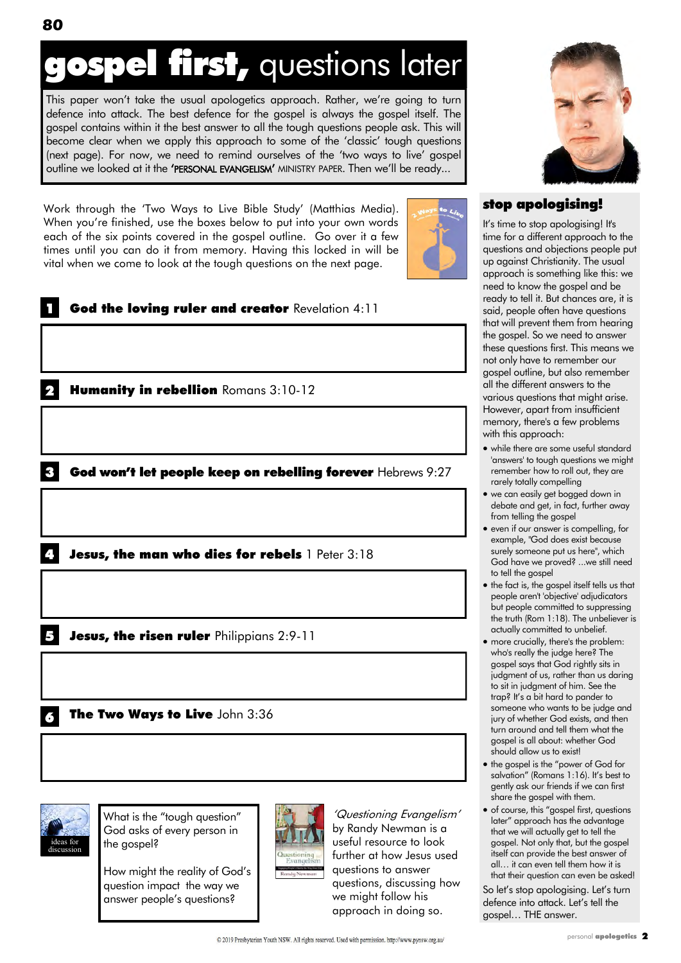## **pspel first, questions later**

This paper won't take the usual apologetics approach. Rather, we're going to turn defence into attack. The best defence for the gospel is always the gospel itself. The gospel contains within it the best answer to all the tough questions people ask. This will become clear when we apply this approach to some of the "classic" tough questions (next page). For now, we need to remind ourselves of the "two ways to live" gospel outline we looked at it the 'PERSONAL EVANGELISM' MINISTRY PAPER. Then we'll be ready...

Work through the "Two Ways to Live Bible Study" (Matthias Media). When you"re finished, use the boxes below to put into your own words each of the six points covered in the gospel outline. Go over it a few times until you can do it from memory. Having this locked in will be vital when we come to look at the tough questions on the next page.



|   | God the loving ruler and creator Revelation 4:11            |
|---|-------------------------------------------------------------|
|   |                                                             |
|   | Humanity in rebellion Romans 3:10-12                        |
|   |                                                             |
|   | God won't let people keep on rebelling forever Hebrews 9:27 |
|   |                                                             |
|   | Jesus, the man who dies for rebels 1 Peter 3:18             |
|   |                                                             |
|   | Jesus, the risen ruler Philippians 2:9-11                   |
|   |                                                             |
| O | The Two Ways to Live John 3:36                              |
|   |                                                             |



What is the "tough question" God asks of every person in the gospel?

How might the reality of God"s question impact the way we answer people"s questions?



"Questioning Evangelism" by Randy Newman is a useful resource to look further at how Jesus used questions to answer questions, discussing how we might follow his approach in doing so.



#### stop apologising!

It's time to stop apologising! It's time for a different approach to the questions and objections people put up against Christianity. The usual approach is something like this: we need to know the gospel and be ready to tell it. But chances are, it is said, people often have questions that will prevent them from hearing the gospel. So we need to answer these questions first. This means we not only have to remember our gospel outline, but also remember all the different answers to the various questions that might arise. However, apart from insufficient memory, there's a few problems with this approach:

- while there are some useful standard 'answers' to tough questions we might remember how to roll out, they are rarely totally compelling
- we can easily get bogged down in debate and get, in fact, further away from telling the gospel
- even if our answer is compelling, for example, "God does exist because surely someone put us here", which God have we proved? ...we still need to tell the gospel
- the fact is, the gospel itself tells us that people aren't 'objective' adjudicators but people committed to suppressing the truth (Rom 1:18). The unbeliever is actually committed to unbelief.
- more crucially, there's the problem: who's really the judge here? The gospel says that God rightly sits in judgment of us, rather than us daring to sit in judgment of him. See the trap? It's a bit hard to pander to someone who wants to be judge and jury of whether God exists, and then turn around and tell them what the gospel is all about: whether God should allow us to exist!
- the gospel is the "power of God for salvation" (Romans 1:16). It's best to gently ask our friends if we can first share the gospel with them.
- of course, this "gospel first, questions later" approach has the advantage that we will actually get to tell the gospel. Not only that, but the gospel itself can provide the best answer of all… it can even tell them how it is that their question can even be asked!

So let's stop apologising. Let's turn defence into attack. Let"s tell the gospel… THE answer.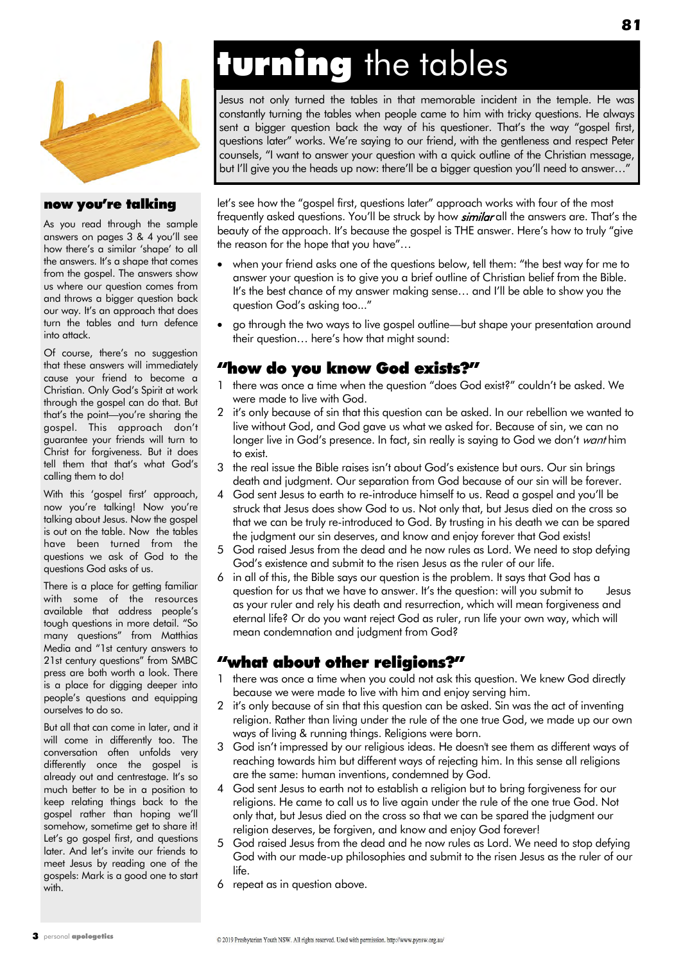

#### now you're talking

As you read through the sample answers on pages 3 & 4 you"ll see how there's a similar 'shape' to all the answers. It's a shape that comes from the gospel. The answers show us where our question comes from and throws a bigger question back our way. It's an approach that does turn the tables and turn defence into attack.

Of course, there"s no suggestion that these answers will immediately cause your friend to become a Christian. Only God"s Spirit at work through the gospel can do that. But that's the point-you're sharing the gospel. This approach don"t guarantee your friends will turn to Christ for forgiveness. But it does tell them that that"s what God"s calling them to do!

With this 'gospel first' approach, now you're talking! Now you're talking about Jesus. Now the gospel is out on the table. Now the tables have been turned from the questions we ask of God to the questions God asks of us.

There is a place for getting familiar with some of the resources available that address people"s tough questions in more detail. "So many questions" from Matthias Media and "1st century answers to 21st century questions" from SMBC press are both worth a look. There is a place for digging deeper into people"s questions and equipping ourselves to do so.

But all that can come in later, and it will come in differently too. The conversation often unfolds very differently once the gospel is already out and centrestage. It"s so much better to be in a position to keep relating things back to the gospel rather than hoping we"ll somehow, sometime get to share it! Let"s go gospel first, and questions later. And let"s invite our friends to meet Jesus by reading one of the gospels: Mark is a good one to start with.

# turning the tables

Jesus not only turned the tables in that memorable incident in the temple. He was constantly turning the tables when people came to him with tricky questions. He always sent a bigger question back the way of his questioner. That"s the way "gospel first, questions later" works. We"re saying to our friend, with the gentleness and respect Peter counsels, "I want to answer your question with a quick outline of the Christian message, but I'll give you the heads up now: there'll be a bigger question you'll need to answer...

let"s see how the "gospel first, questions later" approach works with four of the most frequently asked questions. You'll be struck by how *similar* all the answers are. That's the beauty of the approach. It's because the gospel is THE answer. Here's how to truly "give the reason for the hope that you have"…

- when your friend asks one of the questions below, tell them: "the best way for me to answer your question is to give you a brief outline of Christian belief from the Bible. It's the best chance of my answer making sense... and I'll be able to show you the question God"s asking too..."
- go through the two ways to live gospel outline—but shape your presentation around their question… here"s how that might sound:

#### "how do you know God exists?"

- 1 there was once a time when the question "does God exist?" couldn"t be asked. We were made to live with God.
- 2 it"s only because of sin that this question can be asked. In our rebellion we wanted to live without God, and God gave us what we asked for. Because of sin, we can no longer live in God's presence. In fact, sin really is saying to God we don't want him to exist.
- 3 the real issue the Bible raises isn't about God's existence but ours. Our sin brings death and judgment. Our separation from God because of our sin will be forever.
- 4 God sent Jesus to earth to re-introduce himself to us. Read a gospel and you"ll be struck that Jesus does show God to us. Not only that, but Jesus died on the cross so that we can be truly re-introduced to God. By trusting in his death we can be spared the judgment our sin deserves, and know and enjoy forever that God exists!
- 5 God raised Jesus from the dead and he now rules as Lord. We need to stop defying God"s existence and submit to the risen Jesus as the ruler of our life.
- in all of this, the Bible says our question is the problem. It says that God has a question for us that we have to answer. It's the question: will you submit to lesus as your ruler and rely his death and resurrection, which will mean forgiveness and eternal life? Or do you want reject God as ruler, run life your own way, which will mean condemnation and judgment from God?

#### "what about other religions?"

- 1 there was once a time when you could not ask this question. We knew God directly because we were made to live with him and enjoy serving him.
- 2 it"s only because of sin that this question can be asked. Sin was the act of inventing religion. Rather than living under the rule of the one true God, we made up our own ways of living & running things. Religions were born.
- 3 God isn"t impressed by our religious ideas. He doesn't see them as different ways of reaching towards him but different ways of rejecting him. In this sense all religions are the same: human inventions, condemned by God.
- 4 God sent Jesus to earth not to establish a religion but to bring forgiveness for our religions. He came to call us to live again under the rule of the one true God. Not only that, but Jesus died on the cross so that we can be spared the judgment our religion deserves, be forgiven, and know and enjoy God forever!
- 5 God raised Jesus from the dead and he now rules as Lord. We need to stop defying God with our made-up philosophies and submit to the risen Jesus as the ruler of our life.
- 6 repeat as in question above.